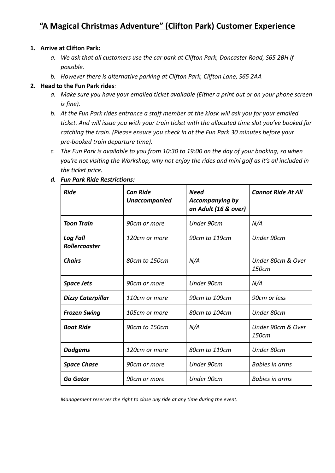# **"A Magical Christmas Adventure" (Clifton Park) Customer Experience**

#### **1. Arrive at Clifton Park:**

- *a. We ask that all customers use the car park at Clifton Park, Doncaster Road, S65 2BH if possible.*
- *b. However there is alternative parking at Clifton Park, Clifton Lane, S65 2AA*

#### **2. Head to the Fun Park rides***:*

- *a. Make sure you have your emailed ticket available (Either a print out or on your phone screen is fine).*
- *b. At the Fun Park rides entrance a staff member at the kiosk will ask you for your emailed ticket. And will issue you with your train ticket with the allocated time slot you've booked for catching the train. (Please ensure you check in at the Fun Park 30 minutes before your pre-booked train departure time).*
- *c. The Fun Park is available to you from 10:30 to 19:00 on the day of your booking, so when you're not visiting the Workshop, why not enjoy the rides and mini golf as it's all included in the ticket price.*

| <b>Ride</b>                             | <b>Can Ride</b><br><b>Unaccompanied</b> | <b>Need</b><br><b>Accompanying by</b><br>an Adult (16 & over) | <b>Cannot Ride At All</b>  |
|-----------------------------------------|-----------------------------------------|---------------------------------------------------------------|----------------------------|
| Toon Train                              | 90cm or more                            | Under 90cm                                                    | N/A                        |
| <b>Log Fall</b><br><b>Rollercoaster</b> | 120cm or more                           | 90cm to 119cm                                                 | Under 90cm                 |
| <b>Chairs</b>                           | 80cm to 150cm                           | N/A                                                           | Under 80cm & Over<br>150cm |
| <b>Space Jets</b>                       | 90cm or more                            | Under 90cm                                                    | N/A                        |
| <b>Dizzy Caterpillar</b>                | 110cm or more                           | 90cm to 109cm                                                 | 90cm or less               |
| <b>Frozen Swing</b>                     | 105cm or more                           | 80cm to 104cm                                                 | Under 80cm                 |
| <b>Boat Ride</b>                        | 90cm to 150cm                           | N/A                                                           | Under 90cm & Over<br>150cm |
| <b>Dodgems</b>                          | 120cm or more                           | 80cm to 119cm                                                 | Under 80cm                 |
| <b>Space Chase</b>                      | 90cm or more                            | Under 90cm                                                    | <b>Babies in arms</b>      |
| <b>Go Gator</b>                         | 90cm or more                            | Under 90cm                                                    | <b>Babies in arms</b>      |

*d. Fun Park Ride Restrictions:*

*Management reserves the right to close any ride at any time during the event.*